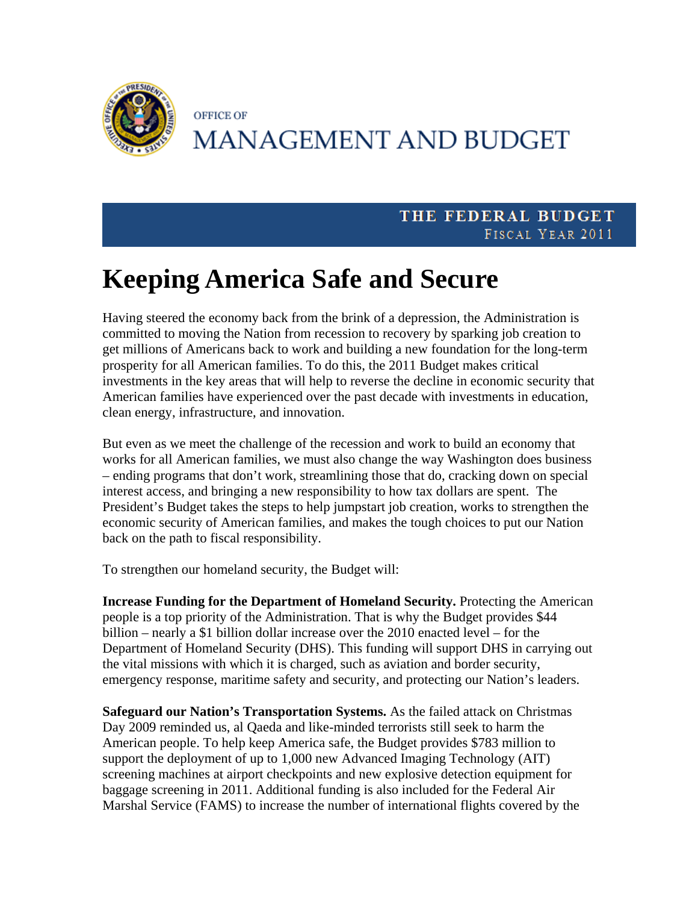

## **OFFICE OF MANAGEMENT AND BUDGET**

## THE FEDERAL BUDGET FISCAL YEAR 2011

## **Keeping America Safe and Secure**

Having steered the economy back from the brink of a depression, the Administration is committed to moving the Nation from recession to recovery by sparking job creation to get millions of Americans back to work and building a new foundation for the long-term prosperity for all American families. To do this, the 2011 Budget makes critical investments in the key areas that will help to reverse the decline in economic security that American families have experienced over the past decade with investments in education, clean energy, infrastructure, and innovation.

But even as we meet the challenge of the recession and work to build an economy that works for all American families, we must also change the way Washington does business – ending programs that don't work, streamlining those that do, cracking down on special interest access, and bringing a new responsibility to how tax dollars are spent. The President's Budget takes the steps to help jumpstart job creation, works to strengthen the economic security of American families, and makes the tough choices to put our Nation back on the path to fiscal responsibility.

To strengthen our homeland security, the Budget will:

**Increase Funding for the Department of Homeland Security.** Protecting the American people is a top priority of the Administration. That is why the Budget provides \$44 billion – nearly a \$1 billion dollar increase over the 2010 enacted level – for the Department of Homeland Security (DHS). This funding will support DHS in carrying out the vital missions with which it is charged, such as aviation and border security, emergency response, maritime safety and security, and protecting our Nation's leaders.

**Safeguard our Nation's Transportation Systems.** As the failed attack on Christmas Day 2009 reminded us, al Qaeda and like-minded terrorists still seek to harm the American people. To help keep America safe, the Budget provides \$783 million to support the deployment of up to 1,000 new Advanced Imaging Technology (AIT) screening machines at airport checkpoints and new explosive detection equipment for baggage screening in 2011. Additional funding is also included for the Federal Air Marshal Service (FAMS) to increase the number of international flights covered by the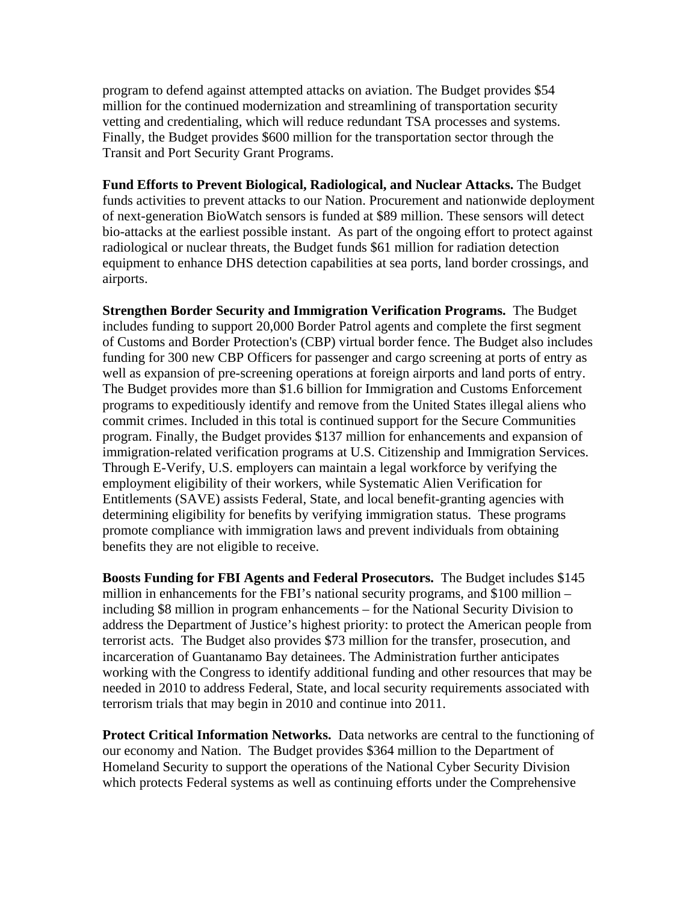program to defend against attempted attacks on aviation. The Budget provides \$54 million for the continued modernization and streamlining of transportation security vetting and credentialing, which will reduce redundant TSA processes and systems. Finally, the Budget provides \$600 million for the transportation sector through the Transit and Port Security Grant Programs.

**Fund Efforts to Prevent Biological, Radiological, and Nuclear Attacks.** The Budget funds activities to prevent attacks to our Nation. Procurement and nationwide deployment of next-generation BioWatch sensors is funded at \$89 million. These sensors will detect bio-attacks at the earliest possible instant. As part of the ongoing effort to protect against radiological or nuclear threats, the Budget funds \$61 million for radiation detection equipment to enhance DHS detection capabilities at sea ports, land border crossings, and airports.

**Strengthen Border Security and Immigration Verification Programs.** The Budget includes funding to support 20,000 Border Patrol agents and complete the first segment of Customs and Border Protection's (CBP) virtual border fence. The Budget also includes funding for 300 new CBP Officers for passenger and cargo screening at ports of entry as well as expansion of pre-screening operations at foreign airports and land ports of entry. The Budget provides more than \$1.6 billion for Immigration and Customs Enforcement programs to expeditiously identify and remove from the United States illegal aliens who commit crimes. Included in this total is continued support for the Secure Communities program. Finally, the Budget provides \$137 million for enhancements and expansion of immigration-related verification programs at U.S. Citizenship and Immigration Services. Through E-Verify, U.S. employers can maintain a legal workforce by verifying the employment eligibility of their workers, while Systematic Alien Verification for Entitlements (SAVE) assists Federal, State, and local benefit-granting agencies with determining eligibility for benefits by verifying immigration status. These programs promote compliance with immigration laws and prevent individuals from obtaining benefits they are not eligible to receive.

**Boosts Funding for FBI Agents and Federal Prosecutors.** The Budget includes \$145 million in enhancements for the FBI's national security programs, and \$100 million – including \$8 million in program enhancements – for the National Security Division to address the Department of Justice's highest priority: to protect the American people from terrorist acts. The Budget also provides \$73 million for the transfer, prosecution, and incarceration of Guantanamo Bay detainees. The Administration further anticipates working with the Congress to identify additional funding and other resources that may be needed in 2010 to address Federal, State, and local security requirements associated with terrorism trials that may begin in 2010 and continue into 2011.

**Protect Critical Information Networks.** Data networks are central to the functioning of our economy and Nation. The Budget provides \$364 million to the Department of Homeland Security to support the operations of the National Cyber Security Division which protects Federal systems as well as continuing efforts under the Comprehensive